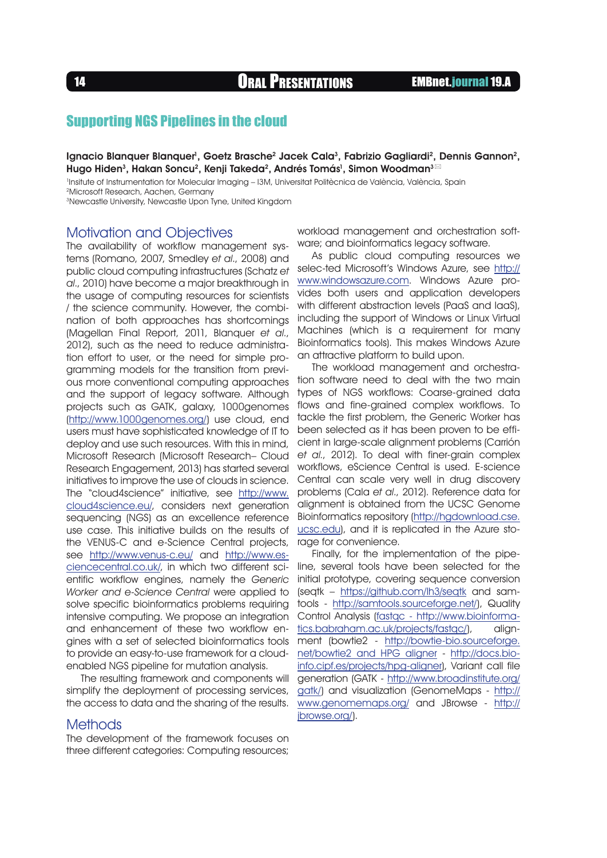<sup>14</sup> Oral Presentations EMBnet.journal 19.A

# Supporting NGS Pipelines in the cloud

lgnacio Blanquer Blanquer<sup>1</sup>, Goetz Brasche<sup>2</sup> Jacek Cala<sup>3</sup>, Fabrizio Gagliardi<sup>2</sup>, Dennis Gannon<sup>2</sup>, Hugo Hiden<sup>3</sup>, Hakan Soncu<sup>2</sup>, Kenji Takeda<sup>2</sup>, Andrés Tomás<sup>1</sup>, Simon Woodman<sup>3⊠</sup>

1 Insitute of Instrumentation for Molecular Imaging – I3M, Universitat Politècnica de València, València, Spain 2Microsoft Research, Aachen, Germany

3Newcastle University, Newcastle Upon Tyne, United Kingdom

### Motivation and Objectives

The availability of workflow management systems (Romano, 2007, Smedley et al., 2008) and public cloud computing infrastructures (Schatz et al., 2010) have become a major breakthrough in the usage of computing resources for scientists / the science community. However, the combination of both approaches has shortcomings (Magellan Final Report, 2011, Blanquer et al., 2012), such as the need to reduce administration effort to user, or the need for simple programming models for the transition from previous more conventional computing approaches and the support of legacy software. Although projects such as GATK, galaxy, 1000genomes ([http://www.1000genomes.org/\)](http://www.1000genomes.org/) use cloud, end users must have sophisticated knowledge of IT to deploy and use such resources. With this in mind, Microsoft Research (Microsoft Research– Cloud Research Engagement, 2013) has started several initiatives to improve the use of clouds in science. The "cloud4science" initiative, see [http://www.](http://www.cloud4science.eu/) [cloud4science.eu/,](http://www.cloud4science.eu/) considers next generation sequencing (NGS) as an excellence reference use case. This initiative builds on the results of the VENUS-C and e-Science Central projects, see <http://www.venus-c.eu/> and [http://www.es](http://www.esciencecentral.co.uk/)[ciencecentral.co.uk/](http://www.esciencecentral.co.uk/), in which two different scientific workflow engines, namely the Generic Worker and e-Science Central were applied to solve specific bioinformatics problems requiring intensive computing. We propose an integration and enhancement of these two workflow engines with a set of selected bioinformatics tools to provide an easy-to-use framework for a cloudenabled NGS pipeline for mutation analysis.

The resulting framework and components will simplify the deployment of processing services, the access to data and the sharing of the results.

### **Methods**

The development of the framework focuses on three different categories: Computing resources; workload management and orchestration software; and bioinformatics legacy software.

As public cloud computing resources we selec-ted Microsoft's Windows Azure, see [http://](http://www.windowsazure.com) [www.windowsazure.com](http://www.windowsazure.com). Windows Azure provides both users and application developers with different abstraction levels (PaaS and IaaS), including the support of Windows or Linux Virtual Machines (which is a requirement for many Bioinformatics tools). This makes Windows Azure an attractive platform to build upon.

The workload management and orchestration software need to deal with the two main types of NGS workflows: Coarse-grained data flows and fine-grained complex workflows. To tackle the first problem, the Generic Worker has been selected as it has been proven to be efficient in large-scale alignment problems (Carrión et al., 2012). To deal with finer-grain complex workflows, eScience Central is used. E-science Central can scale very well in drug discovery problems (Cala et al., 2012). Reference data for alignment is obtained from the UCSC Genome Bioinformatics repository [\(http://hgdownload.cse.](http://hgdownload.cse.ucsc.edu) [ucsc.edu\)](http://hgdownload.cse.ucsc.edu), and it is replicated in the Azure storage for convenience.

Finally, for the implementation of the pipeline, several tools have been selected for the initial prototype, covering sequence conversion (seqtk – <https://github.com/lh3/seqtk> and samtools - [http://samtools.sourceforge.net/\)](http://samtools.sourceforge.net/), Quality Control Analysis [\(fastqc - http://www.bioinforma](fastqc - http://www.bioinformatics.babraham.ac.uk/projects/fastqc/)[tics.babraham.ac.uk/projects/fastqc/](fastqc - http://www.bioinformatics.babraham.ac.uk/projects/fastqc/)), alignment (bowtie2 - [http://bowtie-bio.sourceforge.](http://bowtie-bio.sourceforge.net/bowtie2 and HPG aligner) [net/bowtie2 and HPG aligner](http://bowtie-bio.sourceforge.net/bowtie2 and HPG aligner) - [http://docs.bio](http://docs.bioinfo.cipf.es/projects/hpg-aligner)[info.cipf.es/projects/hpg-aligner](http://docs.bioinfo.cipf.es/projects/hpg-aligner)), Variant call file generation (GATK - [http://www.broadinstitute.org/](http://www.broadinstitute.org/gatk/) [gatk/\)](http://www.broadinstitute.org/gatk/) and visualization (GenomeMaps - [http://](http://www.genomemaps.org/) [www.genomemaps.org/](http://www.genomemaps.org/) and JBrowse - [http://](http://jbrowse.org/) [jbrowse.org/\)](http://jbrowse.org/).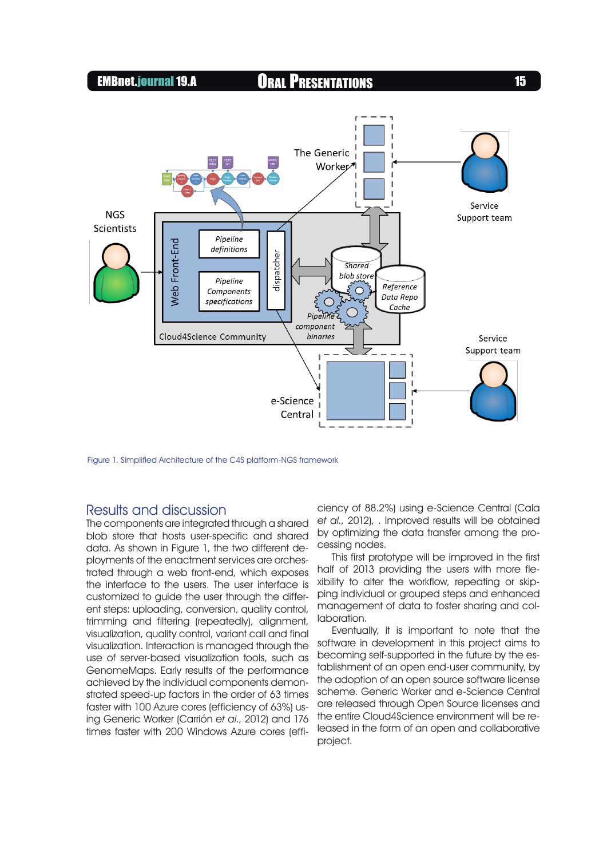

Figure 1. Simplified Architecture of the C4S platform-NGS framework

## Results and discussion

The components are integrated through a shared blob store that hosts user-specific and shared data. As shown in Figure 1, the two different deployments of the enactment services are orchestrated through a web front-end, which exposes the interface to the users. The user interface is customized to guide the user through the different steps: uploading, conversion, quality control, trimming and filtering (repeatedly), alignment, visualization, quality control, variant call and final visualization. Interaction is managed through the use of server-based visualization tools, such as GenomeMaps. Early results of the performance achieved by the individual components demonstrated speed-up factors in the order of 63 times faster with 100 Azure cores (efficiency of 63%) using Generic Worker (Carrión et al., 2012) and 176 times faster with 200 Windows Azure cores (efficiency of 88.2%) using e-Science Central (Cala et al., 2012), . Improved results will be obtained by optimizing the data transfer among the processing nodes.

This first prototype will be improved in the first half of 2013 providing the users with more flexibility to alter the workflow, repeating or skipping individual or grouped steps and enhanced management of data to foster sharing and collaboration.

Eventually, it is important to note that the software in development in this project aims to becoming self-supported in the future by the establishment of an open end-user community, by the adoption of an open source software license scheme. Generic Worker and e-Science Central are released through Open Source licenses and the entire Cloud4Science environment will be released in the form of an open and collaborative project.